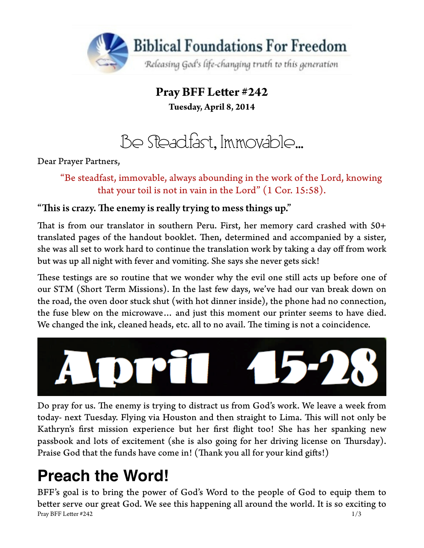

**Pray BFF Leter #242 Tuesday, April 8, 2014**

Be Steadfast, Immovable…

Dear Prayer Partners,

"Be steadfast, immovable, always abounding in the work of the Lord, knowing that your toil is not in vain in the Lord" (1 Cor. 15:58).

## "This is crazy. The enemy is really trying to mess things up."

That is from our translator in southern Peru. First, her memory card crashed with 50+ translated pages of the handout booklet. Then, determined and accompanied by a sister, she was all set to work hard to continue the translation work by taking a day off from work but was up all night with fever and vomiting. She says she never gets sick!

These testings are so routine that we wonder why the evil one still acts up before one of our STM (Short Term Missions). In the last few days, we've had our van break down on the road, the oven door stuck shut (with hot dinner inside), the phone had no connection, the fuse blew on the microwave… and just this moment our printer seems to have died. We changed the ink, cleaned heads, etc. all to no avail. The timing is not a coincidence.



Do pray for us. The enemy is trying to distract us from God's work. We leave a week from today- next Tuesday. Flying via Houston and then straight to Lima. This will not only be Kathryn's frst mission experience but her frst fight too! She has her spanking new passbook and lots of excitement (she is also going for her driving license on Tursday). Praise God that the funds have come in! (Thank you all for your kind gifts!)

# **Preach the Word!**

BFF's goal is to bring the power of God's Word to the people of God to equip them to beter serve our great God. We see this happening all around the world. It is so exciting to Pray BFF Letter  $\#242$  1/3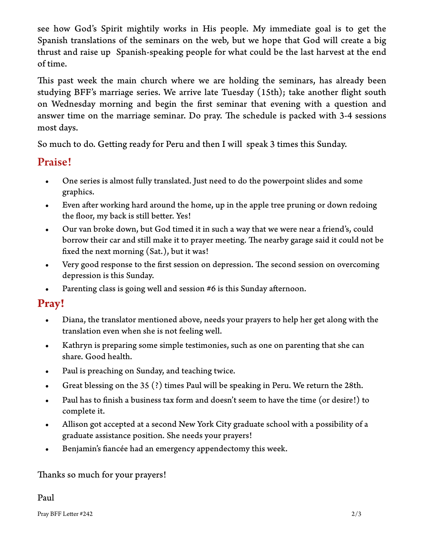see how God's Spirit mightily works in His people. My immediate goal is to get the Spanish translations of the seminars on the web, but we hope that God will create a big thrust and raise up Spanish-speaking people for what could be the last harvest at the end of time.

This past week the main church where we are holding the seminars, has already been studying BFF's marriage series. We arrive late Tuesday (15th); take another fight south on Wednesday morning and begin the frst seminar that evening with a question and answer time on the marriage seminar. Do pray. The schedule is packed with 3-4 sessions most days.

So much to do. Geting ready for Peru and then I will speak 3 times this Sunday.

## Praise!

- One series is almost fully translated. Just need to do the powerpoint slides and some graphics.
- Even after working hard around the home, up in the apple tree pruning or down redoing the floor, my back is still better. Yes!
- Our van broke down, but God timed it in such a way that we were near a friend's, could borrow their car and still make it to prayer meeting. The nearby garage said it could not be fxed the next morning (Sat.), but it was!
- Very good response to the first session on depression. The second session on overcoming depression is this Sunday.
- Parenting class is going well and session #6 is this Sunday afernoon.

# **Pray!**

- Diana, the translator mentioned above, needs your prayers to help her get along with the translation even when she is not feeling well.
- Kathryn is preparing some simple testimonies, such as one on parenting that she can share. Good health.
- Paul is preaching on Sunday, and teaching twice.
- Great blessing on the 35 (?) times Paul will be speaking in Peru. We return the 28th.
- Paul has to fnish a business tax form and doesn't seem to have the time (or desire!) to complete it.
- Allison got accepted at a second New York City graduate school with a possibility of a graduate assistance position. She needs your prayers!
- Benjamin's fancée had an emergency appendectomy this week.

#### Thanks so much for your prayers!

#### Paul